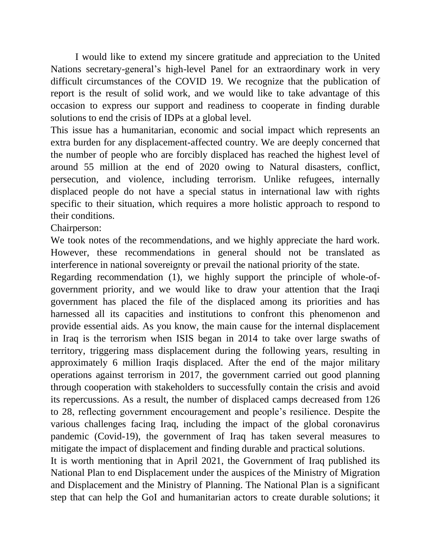I would like to extend my sincere gratitude and appreciation to the United Nations secretary-general's high-level Panel for an extraordinary work in very difficult circumstances of the COVID 19. We recognize that the publication of report is the result of solid work, and we would like to take advantage of this occasion to express our support and readiness to cooperate in finding durable solutions to end the crisis of IDPs at a global level.

This issue has a humanitarian, economic and social impact which represents an extra burden for any displacement-affected country. We are deeply concerned that the number of people who are forcibly displaced has reached the highest level of around 55 million at the end of 2020 owing to Natural disasters, conflict, persecution, and violence, including terrorism. Unlike refugees, internally displaced people do not have a special status in international law with rights specific to their situation, which requires a more holistic approach to respond to their conditions.

Chairperson:

We took notes of the recommendations, and we highly appreciate the hard work. However, these recommendations in general should not be translated as interference in national sovereignty or prevail the national priority of the state.

Regarding recommendation (1), we highly support the principle of whole-ofgovernment priority, and we would like to draw your attention that the Iraqi government has placed the file of the displaced among its priorities and has harnessed all its capacities and institutions to confront this phenomenon and provide essential aids. As you know, the main cause for the internal displacement in Iraq is the terrorism when ISIS began in 2014 to take over large swaths of territory, triggering mass displacement during the following years, resulting in approximately 6 million Iraqis displaced. After the end of the major military operations against terrorism in 2017, the government carried out good planning through cooperation with stakeholders to successfully contain the crisis and avoid its repercussions. As a result, the number of displaced camps decreased from 126 to 28, reflecting government encouragement and people's resilience. Despite the various challenges facing Iraq, including the impact of the global coronavirus pandemic (Covid-19), the government of Iraq has taken several measures to mitigate the impact of displacement and finding durable and practical solutions.

It is worth mentioning that in April 2021, the Government of Iraq published its National Plan to end Displacement under the auspices of the Ministry of Migration and Displacement and the Ministry of Planning. The National Plan is a significant step that can help the GoI and humanitarian actors to create durable solutions; it